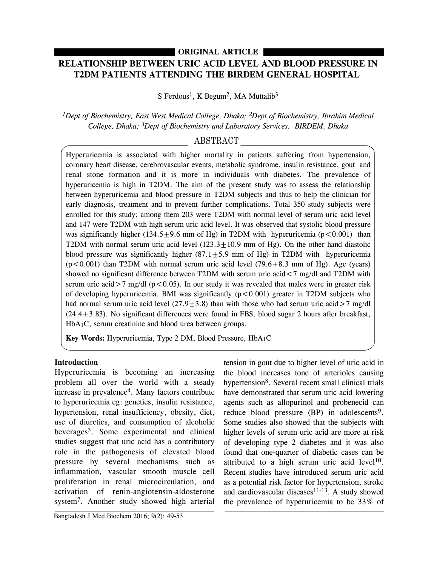## **ORIGINAL ARTICLE**

# **RELATIONSHIP BETWEEN URIC ACID LEVEL AND BLOOD PRESSURE IN T2DM PATIENTS ATTENDING THE BIRDEM GENERAL HOSPITAL**

S Ferdous<sup>1</sup>, K Begum<sup>2</sup>, MA Muttalib<sup>3</sup>

*1Dept of Biochemistry, East West Medical College, Dhaka; 2Dept of Biochemistry, Ibrahim Medical College, Dhaka; 3Dept of Biochemistry and Laboratory Services, BIRDEM, Dhaka*

## ABSTRACT

Hyperuricemia is associated with higher mortality in patients suffering from hypertension, coronary heart disease, cerebrovascular events, metabolic syndrome, insulin resistance, gout and renal stone formation and it is more in individuals with diabetes. The prevalence of hyperuricemia is high in T2DM. The aim of the present study was to assess the relationship between hyperuricemia and blood pressure in T2DM subjects and thus to help the clinician for early diagnosis, treatment and to prevent further complications. Total 350 study subjects were enrolled for this study; among them 203 were T2DM with normal level of serum uric acid level and 147 were T2DM with high serum uric acid level. It was observed that systolic blood pressure was significantly higher (134.5 $\pm$ 9.6 mm of Hg) in T2DM with hyperuricemia (p<0.001) than T2DM with normal serum uric acid level  $(123.3 \pm 10.9 \text{ mm of Hg})$ . On the other hand diastolic blood pressure was significantly higher  $(87.1 \pm 5.9 \text{ mm of Hg})$  in T2DM with hyperuricemia  $(p<0.001)$  than T2DM with normal serum uric acid level (79.6 $\pm$ 8.3 mm of Hg). Age (years) showed no significant difference between T2DM with serum uric acid<7 mg/dl and T2DM with serum uric acid $>7$  mg/dl (p < 0.05). In our study it was revealed that males were in greater risk of developing hyperuricemia. BMI was significantly  $(p < 0.001)$  greater in T2DM subjects who had normal serum uric acid level  $(27.9 \pm 3.8)$  than with those who had serum uric acid $>7$  mg/dl  $(24.4 \pm 3.83)$ . No significant differences were found in FBS, blood sugar 2 hours after breakfast, HbA1C, serum creatinine and blood urea between groups.

**Key Words:** Hyperuricemia, Type 2 DM, Blood Pressure, HbA1C

## **Introduction**

Hyperuricemia is becoming an increasing problem all over the world with a steady increase in prevalence4. Many factors contribute to hyperuricemia eg: genetics, insulin resistance, hypertension, renal insufficiency, obesity, diet, use of diuretics, and consumption of alcoholic beverages3. Some experimental and clinical studies suggest that uric acid has a contributory role in the pathogenesis of elevated blood pressure by several mechanisms such as inflammation, vascular smooth muscle cell proliferation in renal microcirculation, and activation of renin-angiotensin-aldosterone system7. Another study showed high arterial

agents such as allopurinol and probenecid can reduce blood pressure (BP) in adolescents<sup>9</sup>. Some studies also showed that the subjects with higher levels of serum uric acid are more at risk of developing type 2 diabetes and it was also found that one-quarter of diabetic cases can be attributed to a high serum uric acid level<sup>10</sup>. Recent studies have introduced serum uric acid as a potential risk factor for hypertension, stroke and cardiovascular diseases $11-13$ . A study showed the prevalence of hyperuricemia to be 33% of

tension in gout due to higher level of uric acid in the blood increases tone of arterioles causing hypertension<sup>8</sup>. Several recent small clinical trials have demonstrated that serum uric acid lowering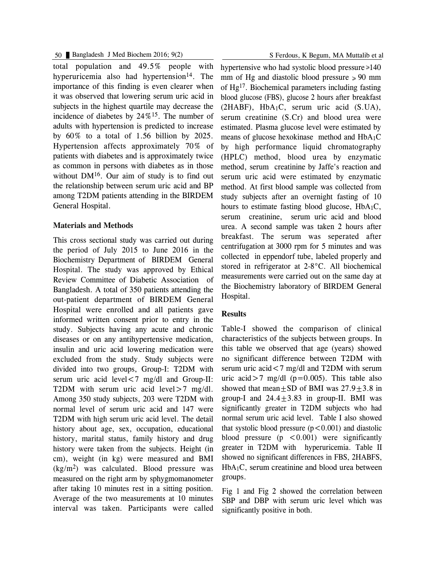50 Bangladesh J Med Biochem 2016; 9(2) S Ferdous, K Begum, MA Muttalib et al

total population and 49.5% people with hyperuricemia also had hypertension<sup>14</sup>. The importance of this finding is even clearer when it was observed that lowering serum uric acid in subjects in the highest quartile may decrease the incidence of diabetes by  $24\%^{15}$ . The number of adults with hypertension is predicted to increase by 60% to a total of 1.56 billion by 2025. Hypertension affects approximately 70% of patients with diabetes and is approximately twice as common in persons with diabetes as in those without  $DM<sup>16</sup>$ . Our aim of study is to find out the relationship between serum uric acid and BP among T2DM patients attending in the BIRDEM General Hospital.

#### **Materials and Methods**

This cross sectional study was carried out during the period of July 2015 to June 2016 in the Biochemistry Department of BIRDEM General Hospital. The study was approved by Ethical Review Committee of Diabetic Association of Bangladesh. A total of 350 patients attending the out-patient department of BIRDEM General Hospital were enrolled and all patients gave informed written consent prior to entry in the study. Subjects having any acute and chronic diseases or on any antihypertensive medication, insulin and uric acid lowering medication were excluded from the study. Study subjects were divided into two groups, Group-I: T2DM with serum uric acid level  $\leq 7$  mg/dl and Group-II: T2DM with serum uric acid level > 7 mg/dl. Among 350 study subjects, 203 were T2DM with normal level of serum uric acid and 147 were T2DM with high serum uric acid level. The detail history about age, sex, occupation, educational history, marital status, family history and drug history were taken from the subjects. Height (in cm), weight (in kg) were measured and BMI (kg/m2) was calculated. Blood pressure was measured on the right arm by sphygmomanometer after taking 10 minutes rest in a sitting position. Average of the two measurements at 10 minutes interval was taken. Participants were called

hypertensive who had systolic blood pressure  $\ge 140$ mm of Hg and diastolic blood pressure  $\ge 90$  mm of Hg17. Biochemical parameters including fasting blood glucose (FBS), glucose 2 hours after breakfast (2HABF), HbA1C, serum uric acid (S.UA), serum creatinine (S.Cr) and blood urea were estimated. Plasma glucose level were estimated by means of glucose hexokinase method and HbA1C by high performance liquid chromatography (HPLC) method, blood urea by enzymatic method, serum creatinine by Jaffe's reaction and serum uric acid were estimated by enzymatic method. At first blood sample was collected from study subjects after an overnight fasting of 10 hours to estimate fasting blood glucose,  $HbA_1C$ , serum creatinine, serum uric acid and blood urea. A second sample was taken 2 hours after breakfast. The serum was seperated after centrifugation at 3000 rpm for 5 minutes and was collected in eppendorf tube, labeled properly and stored in refrigerator at 2-8°C. All biochemical measurements were carried out on the same day at the Biochemistry laboratory of BIRDEM General Hospital.

## **Results**

Table-I showed the comparison of clinical characteristics of the subjects between groups. In this table we observed that age (years) showed no significant difference between T2DM with serum uric acid  $\lt 7$  mg/dl and T2DM with serum uric acid $>7$  mg/dl (p=0.005). This table also showed that mean $\pm$ SD of BMI was 27.9 $\pm$ 3.8 in group-I and  $24.4 \pm 3.83$  in group-II. BMI was significantly greater in T2DM subjects who had normal serum uric acid level. Table I also showed that systolic blood pressure  $(p<0.001)$  and diastolic blood pressure  $(p \leq 0.001)$  were significantly greater in T2DM with hyperuricemia. Table II showed no significant differences in FBS, 2HABFS, HbA1C, serum creatinine and blood urea between groups.

Fig 1 and Fig 2 showed the correlation between SBP and DBP with serum uric level which was significantly positive in both.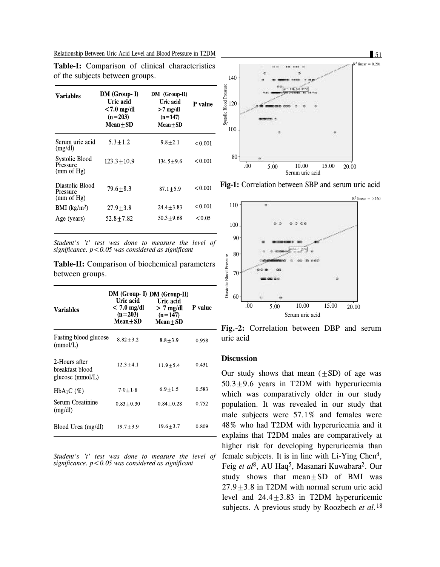Relationship Between Uric Acid Level and Blood Pressure in T2DM 51

| Variables                                 | DM (Group-I)<br>Uric acid<br>$< 7.0$ mg/dl<br>$(n=203)$<br>$Mean + SD$ | DM (Group II)<br>Uric acid<br>$>7$ mg/dl<br>$(n=147)$<br>$Mean + SD$ | P value |
|-------------------------------------------|------------------------------------------------------------------------|----------------------------------------------------------------------|---------|
| Serum uric acid<br>(mg/dl)                | $5.3 + 1.2$                                                            | $9.8 + 2.1$                                                          | < 0.001 |
| Systolic Blood<br>Pressure<br>(mm of Hg)  | $123.3 + 10.9$                                                         | $134.5 + 9.6$                                                        | < 0.001 |
| Diastolic Blood<br>Pressure<br>(mm of Hg) | $79.6 + 8.3$                                                           | $87.1 \pm 5.9$                                                       | < 0.001 |
| BMI $(kg/m2)$                             | $27.9 + 3.8$                                                           | $24.4 + 3.83$                                                        | < 0.001 |
| Age (years)                               | $52.8 + 7.82$                                                          | $50.3 + 9.68$                                                        | < 0.05  |

**Table-I:** Comparison of clinical characteristics of the subjects between groups.

*Student's 't' test was done to measure the level of significance. p<0.05 was considered as significant*

**Table-II:** Comparison of biochemical parameters between groups.

| Variables                                            | Uric acid<br>$< 7.0$ mg/dl<br>$(n=203)$<br>Mean+SD | DM (Group- I) DM (Group-II)<br>Uric acid<br>$> 7$ mg/dl<br>$(n=147)$<br>$Mean + SD$ | <b>P</b> value |
|------------------------------------------------------|----------------------------------------------------|-------------------------------------------------------------------------------------|----------------|
| Fasting blood glucose<br>(mmol/L)                    | $8.82 + 3.2$                                       | $8.8 + 3.9$                                                                         | 0.958          |
| 2-Hours after<br>breakfast blood<br>glucose (mmol/L) | $12.3 + 4.1$                                       | $11.9 + 5.4$                                                                        | 0.431          |
| $HbA_1C(\%)$                                         | $7.0 + 1.8$                                        | $6.9 + 1.5$                                                                         | 0.583          |
| Serum Creatinine<br>(mg/dl)                          | $0.83 + 0.30$                                      | $0.84 + 0.28$                                                                       | 0.752          |
| Blood Urea (mg/dl)                                   | $19.7 \pm 3.9$                                     | $19.6 + 3.7$                                                                        | 0.809          |

*Student's 't' test was done to measure the level of significance. p<0.05 was considered as significant*



**Fig-1:** Correlation between SBP and serum uric acid



**Fig.-2:** Correlation between DBP and serum uric acid

#### **Discussion**

Our study shows that mean  $(\pm SD)$  of age was  $50.3 \pm 9.6$  years in T2DM with hyperuricemia which was comparatively older in our study population. It was revealed in our study that male subjects were 57.1% and females were 48% who had T2DM with hyperuricemia and it - explains that T2DM males are comparatively at higher risk for developing hyperuricemia than female subjects. It is in line with Li-Ying Chen4, Feig *et al* 8, AU Haq5, Masanari Kuwabara2. Our study shows that mean $\pm$ SD of BMI was  $27.9+3.8$  in T2DM with normal serum uric acid level and  $24.4 \pm 3.83$  in T2DM hyperuricemic subjects. A previous study by Roozbech *et al.*<sup>18</sup>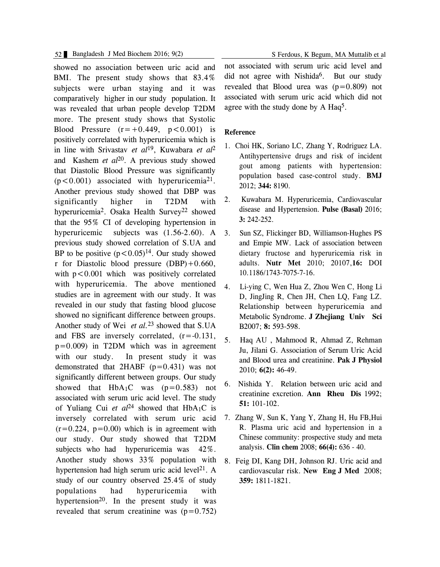#### 52 Bangladesh J Med Biochem 2016; 9(2) S Ferdous, K Begum, MA Muttalib et al

showed no association between uric acid and BMI. The present study shows that 83.4% subjects were urban staying and it was comparatively higher in our study population. It was revealed that urban people develop T2DM more. The present study shows that Systolic Blood Pressure  $(r=+0.449, p<0.001)$  is positively correlated with hyperuricemia which is in line with Srivastav *et al* 19, Kuwabara *et al* 2 and Kashem *et al* 20. A previous study showed that Diastolic Blood Pressure was significantly  $(p<0.001)$  associated with hyperuricemia<sup>21</sup>. Another previous study showed that DBP was significantly higher in T2DM with hyperuricemia<sup>2</sup>. Osaka Health Survey<sup>22</sup> showed that the 95% CI of developing hypertension in hyperuricemic subjects was (1.56-2.60). A previous study showed correlation of S.UA and BP to be positive  $(p < 0.05)^{14}$ . Our study showed r for Diastolic blood pressure (DBP)+0.660, with  $p < 0.001$  which was positively correlated with hyperuricemia. The above mentioned studies are in agreement with our study. It was revealed in our study that fasting blood glucose showed no significant difference between groups. Another study of Wei *et al.*<sup>23</sup> showed that S.UA and FBS are inversely correlated, (r=-0.131, p=0.009) in T2DM which was in agreement with our study. In present study it was demonstrated that  $2HABF$  ( $p=0.431$ ) was not significantly different between groups. Our study showed that  $HbA_1C$  was (p=0.583) not associated with serum uric acid level. The study of Yuliang Cui *et al* <sup>24</sup> showed that HbA1C is inversely correlated with serum uric acid  $(r=0.224, p=0.00)$  which is in agreement with our study. Our study showed that T2DM subjects who had hyperuricemia was 42%. Another study shows 33% population with hypertension had high serum uric acid level<sup>21</sup>. A study of our country observed 25.4% of study populations had hyperuricemia with hypertension<sup>20</sup>. In the present study it was revealed that serum creatinine was  $(p=0.752)$  not associated with serum uric acid level and did not agree with Nishida<sup>6</sup>. But our study

revealed that Blood urea was  $(p=0.809)$  not associated with serum uric acid which did not agree with the study done by A Haq<sup>5</sup>.

#### **Reference**

- 1. Choi HK, Soriano LC, Zhang Y, Rodriguez LA. Antihypertensive drugs and risk of incident gout among patients with hypertension: population based case-control study. **BMJ** 2012; **344:** 8190.
- 2. Kuwabara M. Hyperuricemia, Cardiovascular disease and Hypertension. **Pulse (Basal)** 2016; **3:** 242-252.
- 3. Sun SZ, Flickinger BD, Williamson-Hughes PS and Empie MW. Lack of association between dietary fructose and hyperuricemia risk in adults. **Nutr Met** 2010; 20107,**16:** DOI 10.1186/1743-7075-7-16.
- 4. Li-ying C, Wen Hua Z, Zhou Wen C, Hong Li D, JingJing R, Chen JH, Chen LQ, Fang LZ. Relationship between hyperuricemia and Metabolic Syndrome. **J Zhejiang Univ Sci** B2007; **8:** 593-598.
- 5. Haq AU , Mahmood R, Ahmad Z, Rehman Ju, Jilani G. Association of Serum Uric Acid and Blood urea and creatinine. **Pak J Physiol** 2010; **6(2):** 46-49.
- 6. Nishida Y. Relation between uric acid and creatinine excretion. **Ann Rheu Dis** 1992; **51:** 101-102.
- 7. Zhang W, Sun K, Yang Y, Zhang H, Hu FB,Hui R. Plasma uric acid and hypertension in a Chinese community: prospective study and meta analysis. **Clin chem** 2008; **66(4):** 636 - 40.
- 8. Feig DI, Kang DH, Johnson RJ. Uric acid and cardiovascular risk. **New Eng J Med** 2008; **359:** 1811-1821.